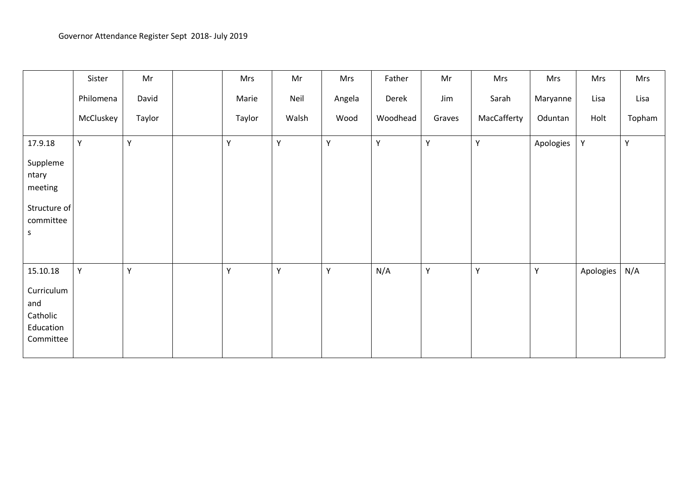|                                                                           | Sister    | Mr     | Mrs    | Mr    | Mrs    | Father   | Mr     | Mrs         | Mrs       | Mrs       | Mrs    |
|---------------------------------------------------------------------------|-----------|--------|--------|-------|--------|----------|--------|-------------|-----------|-----------|--------|
|                                                                           | Philomena | David  | Marie  | Neil  | Angela | Derek    | Jim    | Sarah       | Maryanne  | Lisa      | Lisa   |
|                                                                           | McCluskey | Taylor | Taylor | Walsh | Wood   | Woodhead | Graves | MacCafferty | Oduntan   | Holt      | Topham |
| 17.9.18<br>Suppleme<br>ntary<br>meeting<br>Structure of<br>committee<br>S | Y         | Υ      | Υ      | Y     | Y      | Υ        | Y      | Υ           | Apologies | Υ         | Υ      |
| 15.10.18<br>Curriculum<br>and<br>Catholic<br>Education<br>Committee       | Y         | Υ      | Y      | Y     | Y      | N/A      | Y      | Y           | Y         | Apologies | N/A    |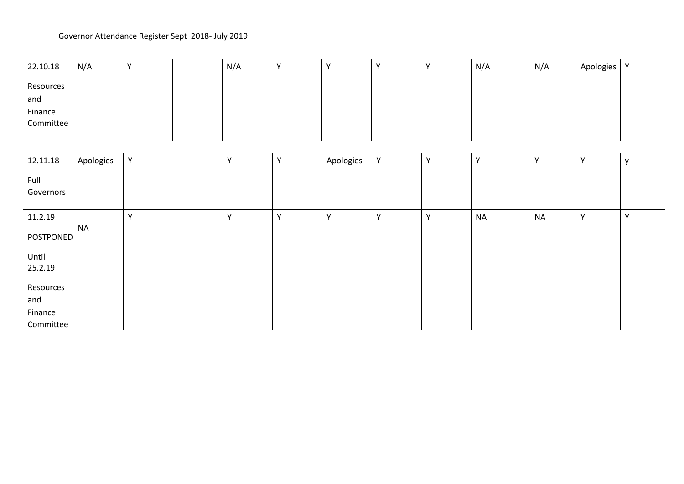| 22.10.18             | N/A |  | N/A |  |  | N/A | N/A | Apologies | $\mathbf{v}$ |
|----------------------|-----|--|-----|--|--|-----|-----|-----------|--------------|
| Resources<br>and     |     |  |     |  |  |     |     |           |              |
| Finance<br>Committee |     |  |     |  |  |     |     |           |              |
|                      |     |  |     |  |  |     |     |           |              |

| 12.11.18          | Apologies | Υ            | $\mathbf{v}$ | $\mathbf v$  | Apologies    | Υ | $\mathsf{v}$ | Y         | $\mathbf{v}$ | $\mathbf{v}$ | $\mathbf{v}$ |
|-------------------|-----------|--------------|--------------|--------------|--------------|---|--------------|-----------|--------------|--------------|--------------|
| Full<br>Governors |           |              |              |              |              |   |              |           |              |              |              |
| 11.2.19           |           | $\mathbf{v}$ |              | $\checkmark$ | $\mathbf{v}$ | v | $\checkmark$ | <b>NA</b> | <b>NA</b>    |              |              |
| POSTPONED         | <b>NA</b> |              |              |              |              |   |              |           |              |              |              |
| Until<br>25.2.19  |           |              |              |              |              |   |              |           |              |              |              |
| Resources         |           |              |              |              |              |   |              |           |              |              |              |
| and               |           |              |              |              |              |   |              |           |              |              |              |
| Finance           |           |              |              |              |              |   |              |           |              |              |              |
| Committee         |           |              |              |              |              |   |              |           |              |              |              |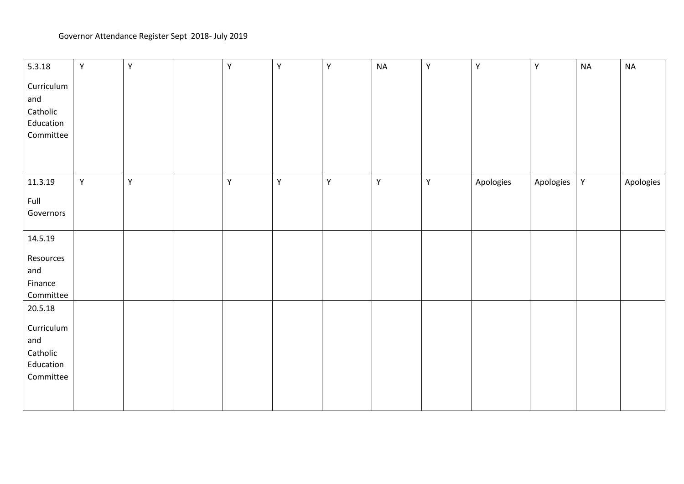| 5.3.18     | Υ | $\mathsf Y$ | Υ | $\mathsf Y$ | $\mathsf Y$ | <b>NA</b>   | Υ | Υ         | $\mathsf Y$ | $\sf NA$ | <b>NA</b> |
|------------|---|-------------|---|-------------|-------------|-------------|---|-----------|-------------|----------|-----------|
| Curriculum |   |             |   |             |             |             |   |           |             |          |           |
| and        |   |             |   |             |             |             |   |           |             |          |           |
| Catholic   |   |             |   |             |             |             |   |           |             |          |           |
| Education  |   |             |   |             |             |             |   |           |             |          |           |
| Committee  |   |             |   |             |             |             |   |           |             |          |           |
|            |   |             |   |             |             |             |   |           |             |          |           |
|            |   |             |   |             |             |             |   |           |             |          |           |
|            |   |             |   |             |             |             |   |           |             |          |           |
| 11.3.19    | Υ | Y           | Y | $\mathsf Y$ | $\mathsf Y$ | $\mathsf Y$ | Υ | Apologies | Apologies   | Υ        | Apologies |
| Full       |   |             |   |             |             |             |   |           |             |          |           |
| Governors  |   |             |   |             |             |             |   |           |             |          |           |
|            |   |             |   |             |             |             |   |           |             |          |           |
| 14.5.19    |   |             |   |             |             |             |   |           |             |          |           |
| Resources  |   |             |   |             |             |             |   |           |             |          |           |
| and        |   |             |   |             |             |             |   |           |             |          |           |
| Finance    |   |             |   |             |             |             |   |           |             |          |           |
| Committee  |   |             |   |             |             |             |   |           |             |          |           |
| 20.5.18    |   |             |   |             |             |             |   |           |             |          |           |
|            |   |             |   |             |             |             |   |           |             |          |           |
| Curriculum |   |             |   |             |             |             |   |           |             |          |           |
| and        |   |             |   |             |             |             |   |           |             |          |           |
| Catholic   |   |             |   |             |             |             |   |           |             |          |           |
| Education  |   |             |   |             |             |             |   |           |             |          |           |
| Committee  |   |             |   |             |             |             |   |           |             |          |           |
|            |   |             |   |             |             |             |   |           |             |          |           |
|            |   |             |   |             |             |             |   |           |             |          |           |